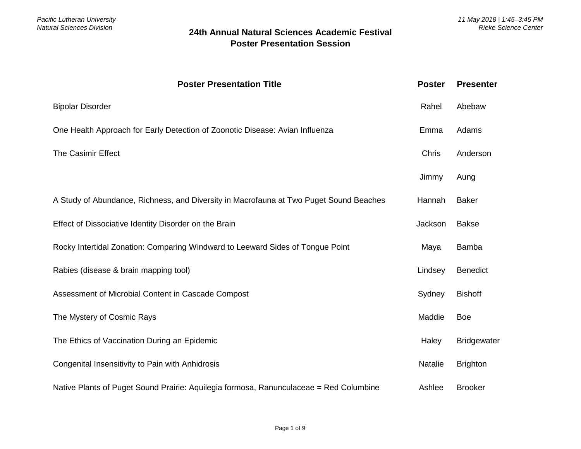| <b>Poster Presentation Title</b>                                                       | <b>Poster</b> | <b>Presenter</b>   |
|----------------------------------------------------------------------------------------|---------------|--------------------|
| <b>Bipolar Disorder</b>                                                                | Rahel         | Abebaw             |
| One Health Approach for Early Detection of Zoonotic Disease: Avian Influenza           | Emma          | Adams              |
| The Casimir Effect                                                                     | <b>Chris</b>  | Anderson           |
|                                                                                        | Jimmy         | Aung               |
| A Study of Abundance, Richness, and Diversity in Macrofauna at Two Puget Sound Beaches | Hannah        | <b>Baker</b>       |
| Effect of Dissociative Identity Disorder on the Brain                                  | Jackson       | <b>Bakse</b>       |
| Rocky Intertidal Zonation: Comparing Windward to Leeward Sides of Tongue Point         | Maya          | Bamba              |
| Rabies (disease & brain mapping tool)                                                  | Lindsey       | <b>Benedict</b>    |
| Assessment of Microbial Content in Cascade Compost                                     | Sydney        | <b>Bishoff</b>     |
| The Mystery of Cosmic Rays                                                             | Maddie        | <b>Boe</b>         |
| The Ethics of Vaccination During an Epidemic                                           | Haley         | <b>Bridgewater</b> |
| Congenital Insensitivity to Pain with Anhidrosis                                       | Natalie       | <b>Brighton</b>    |
| Native Plants of Puget Sound Prairie: Aquilegia formosa, Ranunculaceae = Red Columbine | Ashlee        | <b>Brooker</b>     |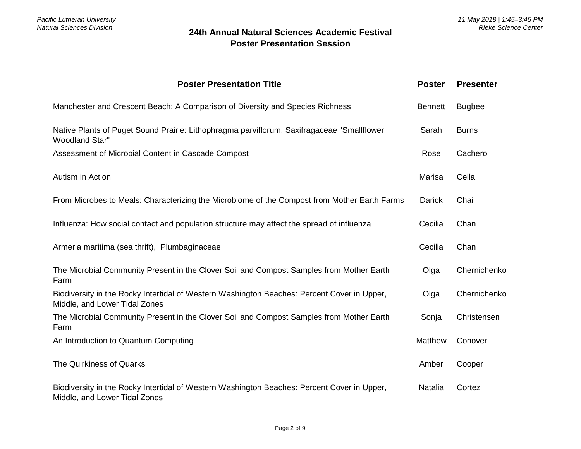| <b>Poster Presentation Title</b>                                                                                             | <b>Poster</b>  | <b>Presenter</b> |
|------------------------------------------------------------------------------------------------------------------------------|----------------|------------------|
| Manchester and Crescent Beach: A Comparison of Diversity and Species Richness                                                | <b>Bennett</b> | <b>Bugbee</b>    |
| Native Plants of Puget Sound Prairie: Lithophragma parviflorum, Saxifragaceae "Smallflower<br><b>Woodland Star"</b>          | Sarah          | <b>Burns</b>     |
| Assessment of Microbial Content in Cascade Compost                                                                           | Rose           | Cachero          |
| Autism in Action                                                                                                             | Marisa         | Cella            |
| From Microbes to Meals: Characterizing the Microbiome of the Compost from Mother Earth Farms                                 | <b>Darick</b>  | Chai             |
| Influenza: How social contact and population structure may affect the spread of influenza                                    | Cecilia        | Chan             |
| Armeria maritima (sea thrift), Plumbaginaceae                                                                                | Cecilia        | Chan             |
| The Microbial Community Present in the Clover Soil and Compost Samples from Mother Earth<br>Farm                             | Olga           | Chernichenko     |
| Biodiversity in the Rocky Intertidal of Western Washington Beaches: Percent Cover in Upper,<br>Middle, and Lower Tidal Zones | Olga           | Chernichenko     |
| The Microbial Community Present in the Clover Soil and Compost Samples from Mother Earth<br>Farm                             | Sonja          | Christensen      |
| An Introduction to Quantum Computing                                                                                         | Matthew        | Conover          |
| The Quirkiness of Quarks                                                                                                     | Amber          | Cooper           |
| Biodiversity in the Rocky Intertidal of Western Washington Beaches: Percent Cover in Upper,<br>Middle, and Lower Tidal Zones | Natalia        | Cortez           |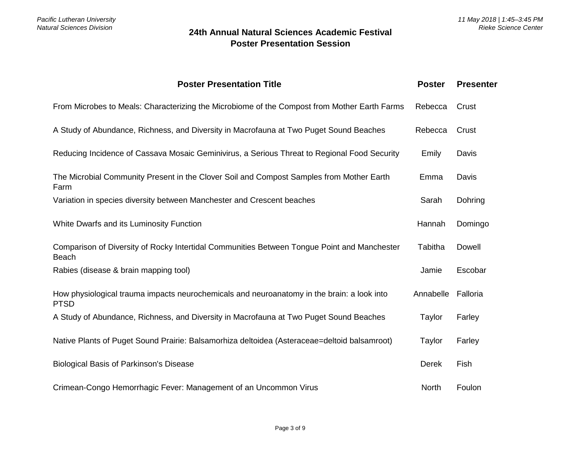| <b>Poster Presentation Title</b>                                                                            | <b>Poster</b> | <b>Presenter</b> |
|-------------------------------------------------------------------------------------------------------------|---------------|------------------|
| From Microbes to Meals: Characterizing the Microbiome of the Compost from Mother Earth Farms                | Rebecca       | Crust            |
| A Study of Abundance, Richness, and Diversity in Macrofauna at Two Puget Sound Beaches                      | Rebecca       | Crust            |
| Reducing Incidence of Cassava Mosaic Geminivirus, a Serious Threat to Regional Food Security                | Emily         | Davis            |
| The Microbial Community Present in the Clover Soil and Compost Samples from Mother Earth<br>Farm            | Emma          | Davis            |
| Variation in species diversity between Manchester and Crescent beaches                                      | Sarah         | Dohring          |
| White Dwarfs and its Luminosity Function                                                                    | Hannah        | Domingo          |
| Comparison of Diversity of Rocky Intertidal Communities Between Tongue Point and Manchester<br><b>Beach</b> | Tabitha       | Dowell           |
| Rabies (disease & brain mapping tool)                                                                       | Jamie         | Escobar          |
| How physiological trauma impacts neurochemicals and neuroanatomy in the brain: a look into<br><b>PTSD</b>   | Annabelle     | Falloria         |
| A Study of Abundance, Richness, and Diversity in Macrofauna at Two Puget Sound Beaches                      | Taylor        | Farley           |
| Native Plants of Puget Sound Prairie: Balsamorhiza deltoidea (Asteraceae=deltoid balsamroot)                | Taylor        | Farley           |
| <b>Biological Basis of Parkinson's Disease</b>                                                              | <b>Derek</b>  | Fish             |
| Crimean-Congo Hemorrhagic Fever: Management of an Uncommon Virus                                            | <b>North</b>  | Foulon           |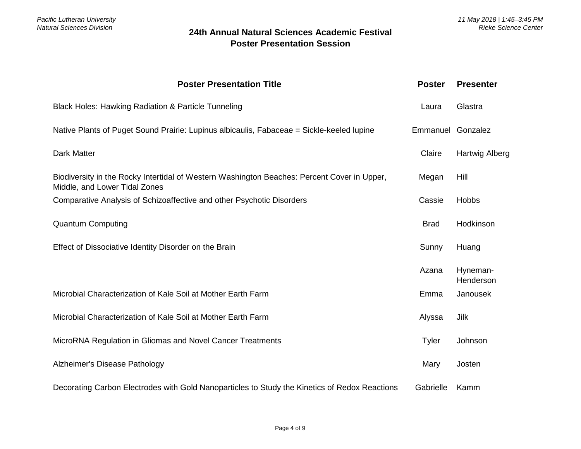| <b>Poster Presentation Title</b>                                                                                             | <b>Poster</b>     | <b>Presenter</b>      |
|------------------------------------------------------------------------------------------------------------------------------|-------------------|-----------------------|
| Black Holes: Hawking Radiation & Particle Tunneling                                                                          | Laura             | Glastra               |
| Native Plants of Puget Sound Prairie: Lupinus albicaulis, Fabaceae = Sickle-keeled lupine                                    | Emmanuel Gonzalez |                       |
| <b>Dark Matter</b>                                                                                                           | Claire            | Hartwig Alberg        |
| Biodiversity in the Rocky Intertidal of Western Washington Beaches: Percent Cover in Upper,<br>Middle, and Lower Tidal Zones | Megan             | Hill                  |
| Comparative Analysis of Schizoaffective and other Psychotic Disorders                                                        | Cassie            | <b>Hobbs</b>          |
| <b>Quantum Computing</b>                                                                                                     | <b>Brad</b>       | Hodkinson             |
| Effect of Dissociative Identity Disorder on the Brain                                                                        | Sunny             | Huang                 |
|                                                                                                                              | Azana             | Hyneman-<br>Henderson |
| Microbial Characterization of Kale Soil at Mother Earth Farm                                                                 | Emma              | Janousek              |
| Microbial Characterization of Kale Soil at Mother Earth Farm                                                                 | Alyssa            | Jilk                  |
| MicroRNA Regulation in Gliomas and Novel Cancer Treatments                                                                   | Tyler             | Johnson               |
| Alzheimer's Disease Pathology                                                                                                | Mary              | Josten                |
| Decorating Carbon Electrodes with Gold Nanoparticles to Study the Kinetics of Redox Reactions                                | Gabrielle         | Kamm                  |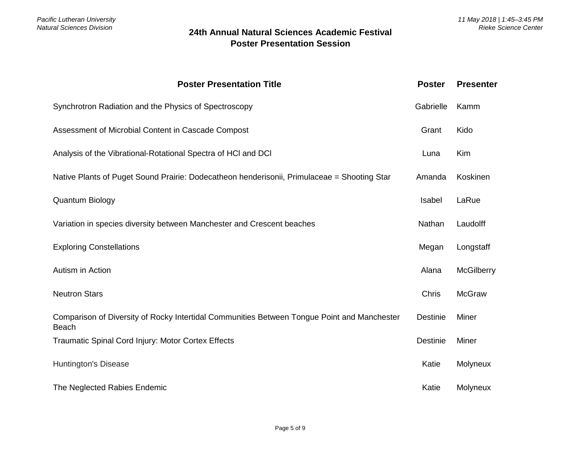| <b>Poster Presentation Title</b>                                                                     | <b>Poster</b> | <b>Presenter</b>  |
|------------------------------------------------------------------------------------------------------|---------------|-------------------|
| Synchrotron Radiation and the Physics of Spectroscopy                                                | Gabrielle     | Kamm              |
| Assessment of Microbial Content in Cascade Compost                                                   | Grant         | Kido              |
| Analysis of the Vibrational-Rotational Spectra of HCI and DCI                                        | Luna          | Kim               |
| Native Plants of Puget Sound Prairie: Dodecatheon henderisonii, Primulaceae = Shooting Star          | Amanda        | Koskinen          |
| <b>Quantum Biology</b>                                                                               | Isabel        | LaRue             |
| Variation in species diversity between Manchester and Crescent beaches                               | Nathan        | Laudolff          |
| <b>Exploring Constellations</b>                                                                      | Megan         | Longstaff         |
| Autism in Action                                                                                     | Alana         | <b>McGilberry</b> |
| <b>Neutron Stars</b>                                                                                 | Chris         | <b>McGraw</b>     |
| Comparison of Diversity of Rocky Intertidal Communities Between Tongue Point and Manchester<br>Beach | Destinie      | Miner             |
| Traumatic Spinal Cord Injury: Motor Cortex Effects                                                   | Destinie      | Miner             |
| Huntington's Disease                                                                                 | Katie         | Molyneux          |
| The Neglected Rabies Endemic                                                                         | Katie         | Molyneux          |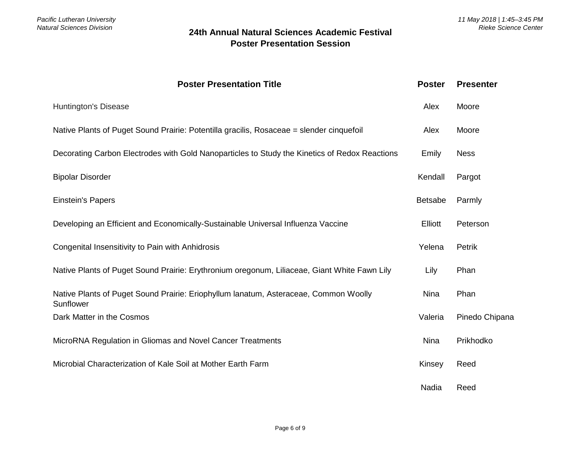| <b>Poster Presentation Title</b>                                                                  | <b>Poster</b>  | <b>Presenter</b> |
|---------------------------------------------------------------------------------------------------|----------------|------------------|
| Huntington's Disease                                                                              | Alex           | Moore            |
| Native Plants of Puget Sound Prairie: Potentilla gracilis, Rosaceae = slender cinquefoil          | Alex           | Moore            |
| Decorating Carbon Electrodes with Gold Nanoparticles to Study the Kinetics of Redox Reactions     | Emily          | <b>Ness</b>      |
| <b>Bipolar Disorder</b>                                                                           | Kendall        | Pargot           |
| <b>Einstein's Papers</b>                                                                          | <b>Betsabe</b> | Parmly           |
| Developing an Efficient and Economically-Sustainable Universal Influenza Vaccine                  | <b>Elliott</b> | Peterson         |
| Congenital Insensitivity to Pain with Anhidrosis                                                  | Yelena         | Petrik           |
| Native Plants of Puget Sound Prairie: Erythronium oregonum, Liliaceae, Giant White Fawn Lily      | Lily           | Phan             |
| Native Plants of Puget Sound Prairie: Eriophyllum lanatum, Asteraceae, Common Woolly<br>Sunflower | <b>Nina</b>    | Phan             |
| Dark Matter in the Cosmos                                                                         | Valeria        | Pinedo Chipana   |
| MicroRNA Regulation in Gliomas and Novel Cancer Treatments                                        | <b>Nina</b>    | Prikhodko        |
| Microbial Characterization of Kale Soil at Mother Earth Farm                                      | Kinsey         | Reed             |
|                                                                                                   | Nadia          | Reed             |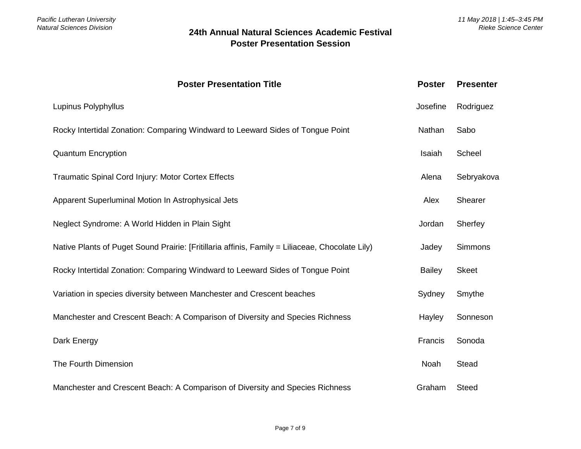| <b>Poster Presentation Title</b>                                                                | <b>Poster</b> | <b>Presenter</b> |
|-------------------------------------------------------------------------------------------------|---------------|------------------|
| Lupinus Polyphyllus                                                                             | Josefine      | Rodriguez        |
| Rocky Intertidal Zonation: Comparing Windward to Leeward Sides of Tongue Point                  | Nathan        | Sabo             |
| <b>Quantum Encryption</b>                                                                       | Isaiah        | Scheel           |
| Traumatic Spinal Cord Injury: Motor Cortex Effects                                              | Alena         | Sebryakova       |
| Apparent Superluminal Motion In Astrophysical Jets                                              | Alex          | Shearer          |
| Neglect Syndrome: A World Hidden in Plain Sight                                                 | Jordan        | Sherfey          |
| Native Plants of Puget Sound Prairie: [Fritillaria affinis, Family = Liliaceae, Chocolate Lily) | Jadey         | Simmons          |
| Rocky Intertidal Zonation: Comparing Windward to Leeward Sides of Tongue Point                  | <b>Bailey</b> | <b>Skeet</b>     |
| Variation in species diversity between Manchester and Crescent beaches                          | Sydney        | Smythe           |
| Manchester and Crescent Beach: A Comparison of Diversity and Species Richness                   | Hayley        | Sonneson         |
| Dark Energy                                                                                     | Francis       | Sonoda           |
| The Fourth Dimension                                                                            | Noah          | Stead            |
| Manchester and Crescent Beach: A Comparison of Diversity and Species Richness                   | Graham        | <b>Steed</b>     |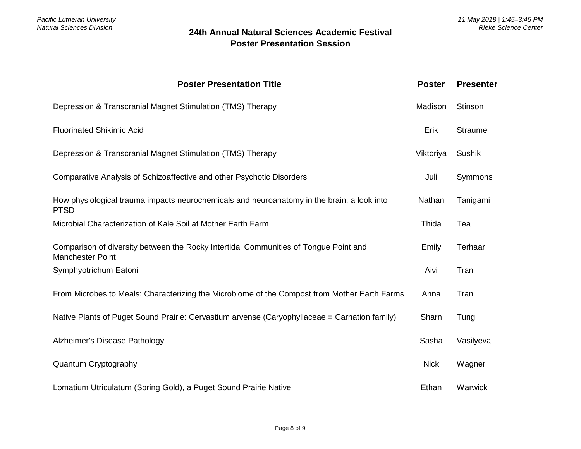| <b>Poster Presentation Title</b>                                                                                | <b>Poster</b> | <b>Presenter</b> |
|-----------------------------------------------------------------------------------------------------------------|---------------|------------------|
| Depression & Transcranial Magnet Stimulation (TMS) Therapy                                                      | Madison       | Stinson          |
| <b>Fluorinated Shikimic Acid</b>                                                                                | Erik          | <b>Straume</b>   |
| Depression & Transcranial Magnet Stimulation (TMS) Therapy                                                      | Viktoriya     | Sushik           |
| Comparative Analysis of Schizoaffective and other Psychotic Disorders                                           | Juli          | Symmons          |
| How physiological trauma impacts neurochemicals and neuroanatomy in the brain: a look into<br><b>PTSD</b>       | Nathan        | Tanigami         |
| Microbial Characterization of Kale Soil at Mother Earth Farm                                                    | Thida         | Tea              |
| Comparison of diversity between the Rocky Intertidal Communities of Tongue Point and<br><b>Manchester Point</b> | Emily         | Terhaar          |
| Symphyotrichum Eatonii                                                                                          | Aivi          | Tran             |
| From Microbes to Meals: Characterizing the Microbiome of the Compost from Mother Earth Farms                    | Anna          | Tran             |
| Native Plants of Puget Sound Prairie: Cervastium arvense (Caryophyllaceae = Carnation family)                   | Sharn         | Tung             |
| Alzheimer's Disease Pathology                                                                                   | Sasha         | Vasilyeva        |
| Quantum Cryptography                                                                                            | <b>Nick</b>   | Wagner           |
| Lomatium Utriculatum (Spring Gold), a Puget Sound Prairie Native                                                | Ethan         | Warwick          |